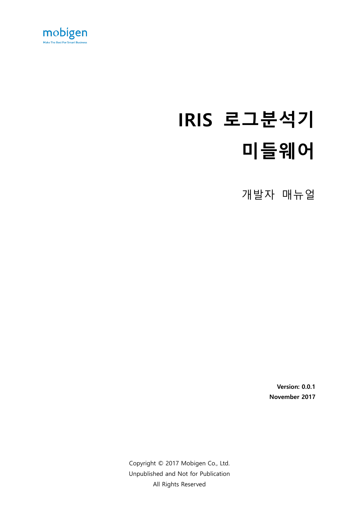

# **IRIS 로그분석기 미들웨어**

개발자 매뉴얼

**Version: 0.0.1 November 2017**

Copyright © 2017 Mobigen Co., Ltd. Unpublished and Not for Publication All Rights Reserved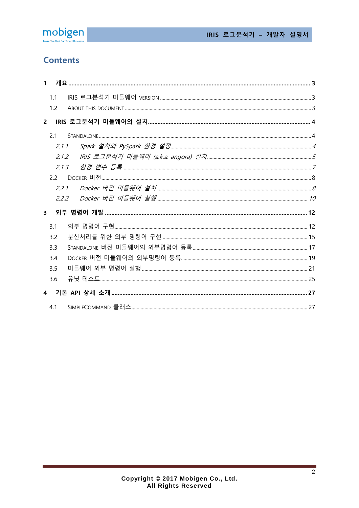

# **Contents**

|                         | 1 <sup>1</sup> |       |  |
|-------------------------|----------------|-------|--|
|                         | 1.1            |       |  |
|                         | 1.2            |       |  |
|                         | $2^{\circ}$    |       |  |
|                         | 2.1            |       |  |
|                         | 2.1.1          |       |  |
|                         | 212            |       |  |
|                         | 2.1.3          |       |  |
|                         | 2.2            |       |  |
|                         |                | 2.2.1 |  |
|                         | 222            |       |  |
| $\overline{\mathbf{3}}$ |                |       |  |
|                         | 3.1            |       |  |
|                         | 3.2            |       |  |
|                         | 3.3            |       |  |
|                         | 3.4            |       |  |
|                         |                |       |  |
|                         | 3.5            |       |  |
|                         | 3.6            |       |  |
|                         |                |       |  |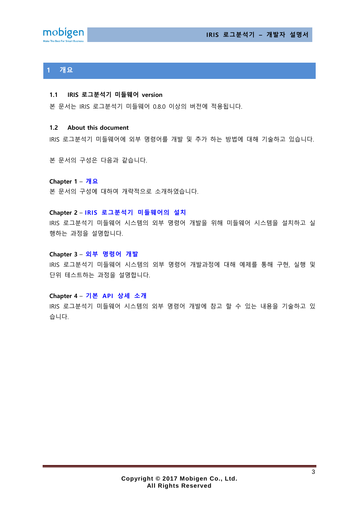



# <span id="page-2-0"></span>**1 개요**

#### <span id="page-2-1"></span>**1.1 IRIS 로그분석기 미들웨어 version**

본 문서는 IRIS 로그분석기 미들웨어 0.8.0 이상의 버전에 적용됩니다.

#### <span id="page-2-2"></span>**1.2 About this document**

IRIS 로그분석기 미들웨어에 외부 명령어를 개발 및 추가 하는 방법에 대해 기술하고 있습니다.

본 문서의 구성은 다음과 같습니다.

**Chapter 1** – **[개요](#page-2-0)** 본 문서의 구성에 대하여 개략적으로 소개하였습니다.

#### **Chapter 2** – **IRIS 로그분석기 [미들웨어의](#page-3-0) 설치**

IRIS 로그분석기 미들웨어 시스템의 외부 명령어 개발을 위해 미들웨어 시스템을 설치하고 실 행하는 과정을 설명합니다.

#### **Chapter 3** – **외부 [명령어](#page-11-0) 개발**

IRIS 로그분석기 미들웨어 시스템의 외부 명령어 개발과정에 대해 예제를 통해 구현, 실행 및 단위 테스트하는 과정을 설명합니다.

#### **Chapter 4** – **기본 API [상세](#page-26-0) 소개**

IRIS 로그분석기 미들웨어 시스템의 외부 명령어 개발에 참고 할 수 있는 내용을 기술하고 있 습니다.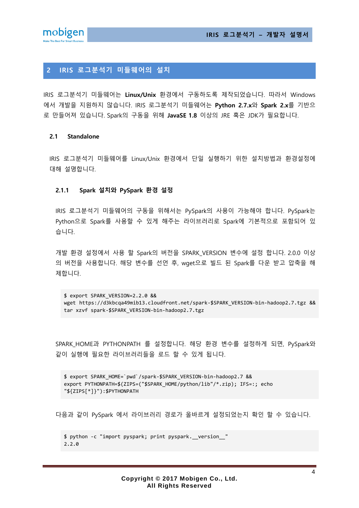**IRIS 로그분석기 – 개발자 설명서**



# <span id="page-3-0"></span>**2 IRIS 로그분석기 미들웨어의 설치**

IRIS 로그분석기 미들웨어는 **Linux/Unix** 환경에서 구동하도록 제작되었습니다. 따라서 Windows 에서 개발을 지원하지 않습니다. IRIS 로그분석기 미들웨어는 **Python 2.7.x**와 **Spark 2.x**를 기반으 로 만들어져 있습니다. Spark의 구동을 위해 **JavaSE 1.8** 이상의 JRE 혹은 JDK가 필요합니다.

#### <span id="page-3-1"></span>**2.1 Standalone**

IRIS 로그분석기 미들웨어를 Linux/Unix 환경에서 단일 실행하기 위한 설치방법과 환경설정에 대해 설명합니다.

#### <span id="page-3-2"></span>**2.1.1 Spark 설치와 PySpark 환경 설정**

IRIS 로그분석기 미들웨어의 구동을 위해서는 PySpark의 사용이 가능해야 합니다. PySpark는 Python으로 Spark를 사용할 수 있게 해주는 라이브러리로 Spark에 기본적으로 포함되어 있 습니다.

개발 환경 설정에서 사용 할 Spark의 버전을 SPARK\_VERSION 변수에 설정 합니다. 2.0.0 이상 의 버전을 사용합니다. 해당 변수를 선언 후, wget으로 빌드 된 Spark를 다운 받고 압축을 해 제합니다.

\$ export SPARK\_VERSION=2.2.0 && wget https://d3kbcqa49mib13.cloudfront.net/spark-\$SPARK\_VERSION-bin-hadoop2.7.tgz && tar xzvf spark-\$SPARK\_VERSION-bin-hadoop2.7.tgz

SPARK\_HOME과 PYTHONPATH 를 설정합니다. 해당 환경 변수를 설정하게 되면, PySpark와 같이 실행에 필요한 라이브러리들을 로드 할 수 있게 됩니다.

\$ export SPARK\_HOME=`pwd`/spark-\$SPARK\_VERSION-bin-hadoop2.7 && export PYTHONPATH=\$(ZIPS=("\$SPARK\_HOME/python/lib"/\*.zip); IFS=:; echo "\${ZIPS[\*]}"):\$PYTHONPATH

다음과 같이 PySpark 에서 라이브러리 경로가 올바르게 설정되었는지 확인 할 수 있습니다.

```
$ python -c "import pyspark; print pyspark.__version__"
2.2.0
```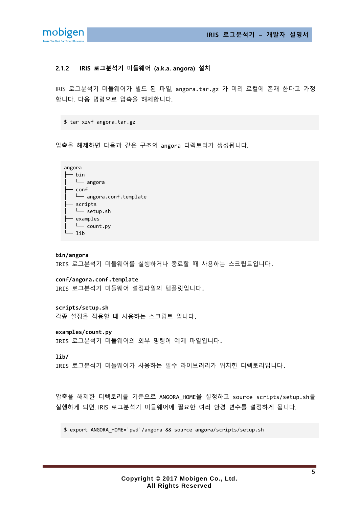

#### <span id="page-4-0"></span>**2.1.2 IRIS 로그분석기 미들웨어 (a.k.a. angora) 설치**

IRIS 로그분석기 미들웨어가 빌드 된 파일, angora.tar.gz 가 미리 로컬에 존재 한다고 가정 합니다. 다음 명령으로 압축을 해제합니다.

\$ tar xzvf angora.tar.gz

압축을 해제하면 다음과 같은 구조의 angora 디렉토리가 생성됩니다.



#### **bin/angora**

IRIS 로그분석기 미들웨어를 실행하거나 종료할 때 사용하는 스크립트입니다.

**conf/angora.conf.template**

IRIS 로그분석기 미들웨어 설정파일의 템플릿입니다.

**scripts/setup.sh**

각종 설정을 적용할 때 사용하는 스크립트 입니다.

**examples/count.py**

IRIS 로그분석기 미들웨어의 외부 명령어 예제 파일입니다.

**lib/**

IRIS 로그분석기 미들웨어가 사용하는 필수 라이브러리가 위치한 디렉토리입니다.

압축을 해제한 디렉토리를 기준으로 ANGORA\_HOME을 설정하고 source scripts/setup.sh를 실행하게 되면, IRIS 로그분석기 미들웨어에 필요한 여러 환경 변수를 설정하게 됩니다.

\$ export ANGORA\_HOME=`pwd`/angora && source angora/scripts/setup.sh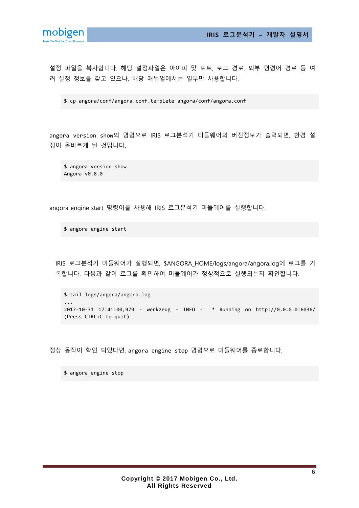



설정 파일을 복사합니다. 해당 설정파일은 아이피 및 포트, 로그 경로, 외부 명령어 경로 등 여 러 설정 정보를 갖고 있으나, 해당 매뉴얼에서는 일부만 사용합니다.

\$ cp angora/conf/angora.conf.templete angora/conf/angora.conf

angora version show의 명령으로 IRIS 로그분석기 미들웨어의 버전정보가 출력되면, 환경 설 정이 올바르게 된 것입니다.

\$ angora version show Angora v0.8.0

angora engine start 명령어를 사용해 IRIS 로그분석기 미들웨어를 실행합니다.

\$ angora engine start

IRIS 로그분석기 미들웨어가 실행되면, \$ANGORA\_HOME/logs/angora/angora.log에 로그를 기 록합니다. 다음과 같이 로그를 확인하여 미들웨어가 정상적으로 실행되는지 확인합니다.

```
$ tail logs/angora/angora.log
...
2017-10-31 17:41:00,979 - werkzeug - INFO - * Running on http://0.0.0.0:6036/ 
(Press CTRL+C to quit)
```
정상 동작이 확인 되었다면, angora engine stop 명령으로 미들웨어를 종료합니다.

\$ angora engine stop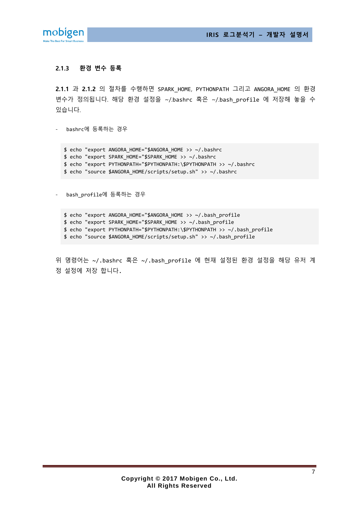**IRIS 로그분석기 – 개발자 설명서**



### <span id="page-6-0"></span>**2.1.3 환경 변수 등록**

**[2.1.1](#page-3-2)** 과 **[2.1.2](#page-4-0)** 의 절차를 수행하면 SPARK\_HOME, PYTHONPATH 그리고 ANGORA\_HOME 의 환경 변수가 정의됩니다. 해당 환경 설정을 ~/.bashrc 혹은 ~/.bash profile 에 저장해 놓을 수 있습니다.

- bashrc에 등록하는 경우

\$ echo "export ANGORA\_HOME="\$ANGORA\_HOME >> ~/.bashrc \$ echo "export SPARK\_HOME="\$SPARK\_HOME >> ~/.bashrc \$ echo "export PYTHONPATH="\$PYTHONPATH:\\$PYTHONPATH >> ~/.bashrc \$ echo "source \$ANGORA\_HOME/scripts/setup.sh" >> ~/.bashrc

- bash\_profile에 등록하는 경우

\$ echo "export ANGORA\_HOME="\$ANGORA\_HOME >> ~/.bash\_profile \$ echo "export SPARK\_HOME="\$SPARK\_HOME >> ~/.bash\_profile \$ echo "export PYTHONPATH="\$PYTHONPATH:\\$PYTHONPATH >> ~/.bash\_profile \$ echo "source \$ANGORA\_HOME/scripts/setup.sh" >> ~/.bash\_profile

위 명령어는 ~/.bashrc 혹은 ~/.bash\_profile 에 현재 설정된 환경 설정을 해당 유저 계 정 설정에 저장 합니다.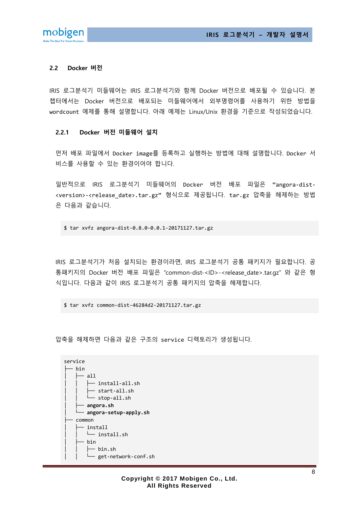

#### <span id="page-7-0"></span>**2.2 Docker 버전**

IRIS 로그분석기 미들웨어는 IRIS 로그분석기와 함께 Docker 버전으로 배포될 수 있습니다. 본 챕터에서는 Docker 버전으로 배포되는 미들웨어에서 외부명령어를 사용하기 위한 방법을 wordcount 예제를 통해 설명합니다. 아래 예제는 Linux/Unix 환경을 기준으로 작성되었습니다.

#### <span id="page-7-1"></span>**2.2.1 Docker 버전 미들웨어 설치**

먼저 배포 파일에서 Docker image를 등록하고 실행하는 방법에 대해 설명합니다. Docker 서 비스를 사용할 수 있는 환경이어야 합니다.

일반적으로 IRIS 로그분석기 미들웨어의 Docker 버전 배포 파일은 "angora-dist- <version>-<release\_date>.tar.gz" 형식으로 제공됩니다. tar.gz 압축을 해제하는 방법 은 다음과 같습니다.

\$ tar xvfz angora-dist-0.8.0-0.0.1-20171127.tar.gz

IRIS 로그분석기가 처음 설치되는 환경이라면, IRIS 로그분석기 공통 패키지가 필요합니다. 공 통패키지의 Docker 버전 배포 파일은 "common-dist-<ID>-<release date>.tar.gz" 와 같은 형 식입니다. 다음과 같이 IRIS 로그분석기 공통 패키지의 압축을 해제합니다.

\$ tar xvfz common-dist-46284d2-20171127.tar.gz

압축을 해제하면 다음과 같은 구조의 service 디렉토리가 생성됩니다.

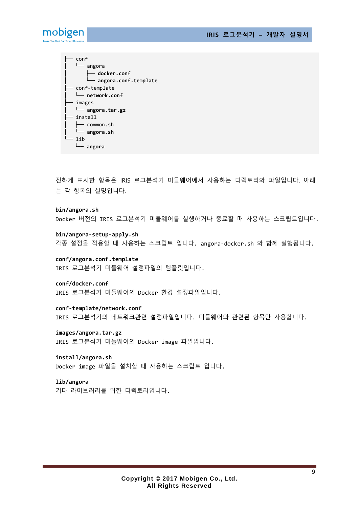**IRIS 로그분석기 – 개발자 설명서**



├── conf │ └── angora │ ├── **docker.conf** │ └── **angora.conf.template** conf-template │ └── **network.conf** ├── images │ └── **angora.tar.gz**  $-$  install  $-$  common.sh │ └── **angora.sh** └── lib └── **angora**

진하게 표시한 항목은 IRIS 로그분석기 미들웨어에서 사용하는 디렉토리와 파일입니다. 아래 는 각 항목의 설명입니다.

**bin/angora.sh** Docker 버전의 IRIS 로그분석기 미들웨어를 실행하거나 종료할 때 사용하는 스크립트입니다.

**bin/angora-setup-apply.sh** 각종 설정을 적용할 때 사용하는 스크립트 입니다. angora-docker.sh 와 함께 실행됩니다.

**conf/angora.conf.template** IRIS 로그분석기 미들웨어 설정파일의 템플릿입니다.

**conf/docker.conf** IRIS 로그분석기 미들웨어의 Docker 환경 설정파일입니다.

**conf-template/network.conf** IRIS 로그분석기의 네트워크관련 설정파일입니다. 미들웨어와 관련된 항목만 사용합니다.

**images/angora.tar.gz** IRIS 로그분석기 미들웨어의 Docker image 파일입니다.

**install/angora.sh** Docker image 파일을 설치할 때 사용하는 스크립트 입니다.

**lib/angora** 기타 라이브러리를 위한 디렉토리입니다.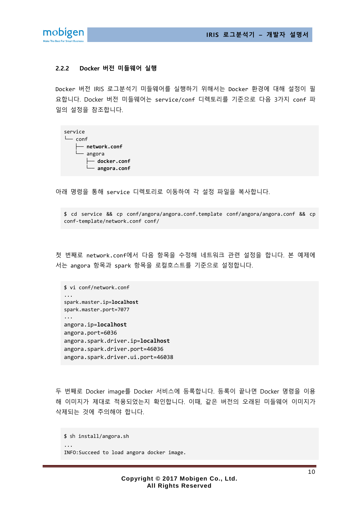

#### <span id="page-9-0"></span>**2.2.2 Docker 버전 미들웨어 실행**

Docker 버전 IRIS 로그분석기 미들웨어를 실행하기 위해서는 Docker 환경에 대해 설정이 필 요합니다. Docker 버전 미들웨어는 service/conf 디렉토리를 기준으로 다음 3가지 conf 파 일의 설정을 참조합니다.

| service |                               |        |                                      |  |
|---------|-------------------------------|--------|--------------------------------------|--|
|         | $\sqcup$ conf                 |        |                                      |  |
|         | $\longleftarrow$ network.conf |        |                                      |  |
|         |                               | angora |                                      |  |
|         |                               |        | $\overline{\phantom{a}}$ docker.conf |  |
|         |                               |        | angora.conf                          |  |

아래 명령을 통해 service 디렉토리로 이동하여 각 설정 파일을 복사합니다.

\$ cd service && cp conf/angora/angora.conf.template conf/angora/angora.conf && cp conf-template/network.conf conf/

첫 번째로 network.conf에서 다음 항목을 수정해 네트워크 관련 설정을 합니다. 본 예제에 서는 angora 항목과 spark 항목을 로컬호스트를 기준으로 설정합니다.

```
$ vi conf/network.conf
...
spark.master.ip=localhost
spark.master.port=7077
...
angora.ip=localhost
angora.port=6036
angora.spark.driver.ip=localhost
angora.spark.driver.port=46036
angora.spark.driver.ui.port=46038
```
두 번째로 Docker image를 Docker 서비스에 등록합니다. 등록이 끝나면 Docker 명령을 이용 해 이미지가 제대로 적용되었는지 확인합니다. 이때, 같은 버전의 오래된 미들웨어 이미지가 삭제되는 것에 주의해야 합니다.

```
$ sh install/angora.sh
...
INFO:Succeed to load angora docker image.
```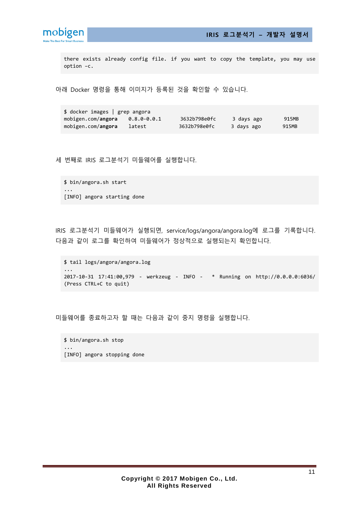

**IRIS 로그분석기 – 개발자 설명서**

there exists already config file. if you want to copy the template, you may use option –c.

아래 Docker 명령을 통해 이미지가 등록된 것을 확인할 수 있습니다.

\$ docker images | grep angora mobigen.com/**angora** 0.8.0-0.0.1 3632b798e0fc 3 days ago 915MB mobigen.com/angora latest 3632b798e0fc 3 days ago 915MB

세 번째로 IRIS 로그분석기 미들웨어를 실행합니다.

\$ bin/angora.sh start ... [INFO] angora starting done

IRIS 로그분석기 미들웨어가 실행되면, service/logs/angora/angora.log에 로그를 기록합니다. 다음과 같이 로그를 확인하여 미들웨어가 정상적으로 실행되는지 확인합니다.

```
$ tail logs/angora/angora.log
...
2017-10-31 17:41:00,979 - werkzeug - INFO - * Running on http://0.0.0.0:6036/ 
(Press CTRL+C to quit)
```
미들웨어를 종료하고자 할 때는 다음과 같이 중지 명령을 실행합니다.

\$ bin/angora.sh stop ... [INFO] angora stopping done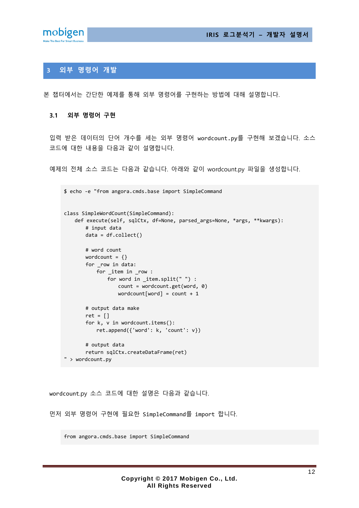



# <span id="page-11-0"></span>**3 외부 명령어 개발**

본 챕터에서는 간단한 예제를 통해 외부 명령어를 구현하는 방법에 대해 설명합니다.

#### <span id="page-11-1"></span>**3.1 외부 명령어 구현**

입력 받은 데이터의 단어 개수를 세는 외부 명령어 wordcount.py를 구현해 보겠습니다. 소스 코드에 대한 내용을 다음과 같이 설명합니다.

예제의 전체 소스 코드는 다음과 같습니다. 아래와 같이 wordcount.py 파일을 생성합니다.

```
$ echo -e "from angora.cmds.base import SimpleCommand
class SimpleWordCount(SimpleCommand):
    def execute(self, sqlCtx, df=None, parsed_args=None, *args, **kwargs):
        # input data
        data = df.collect()
        # word count
       wordcount = \{\} for _row in data:
            for _item in _row :
               for word in _item.split(" ") :
                   count = wordcount.get(word, 0)
                  wordcount[word] = count + 1 # output data make
       ret = [] for k, v in wordcount.items():
            ret.append({'word': k, 'count': v})
        # output data
        return sqlCtx.createDataFrame(ret)
" > wordcount.py
```
wordcount.py 소스 코드에 대한 설명은 다음과 같습니다.

먼저 외부 명령어 구현에 필요한 SimpleCommand를 import 합니다.

from angora.cmds.base import SimpleCommand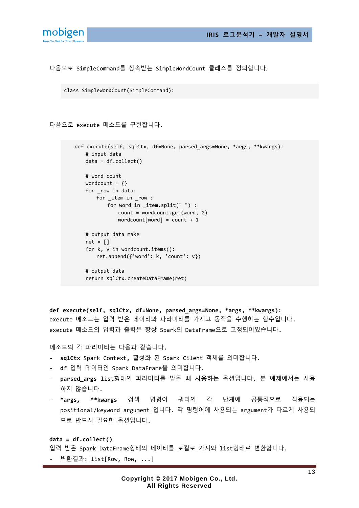

다음으로 SimpleCommand를 상속받는 SimpleWordCount 클래스를 정의합니다.

```
class SimpleWordCount(SimpleCommand):
```
다음으로 execute 메소드를 구현합니다.

```
 def execute(self, sqlCtx, df=None, parsed_args=None, *args, **kwargs):
    # input data
    data = df.collect()
    # word count
   wordcount = \{\} for _row in data:
        for _item in _row :
            for word in _item.split(" ") :
                count = wordcount.get(word, 0)
               wordcount[word] = count + 1 # output data make
   ret = []
    for k, v in wordcount.items():
        ret.append({'word': k, 'count': v})
    # output data
    return sqlCtx.createDataFrame(ret)
```
**def execute(self, sqlCtx, df=None, parsed\_args=None, \*args, \*\*kwargs):** execute 메소드는 입력 받은 데이터와 파라미터를 가지고 동작을 수행하는 함수입니다. execute 메소드의 입력과 출력은 항상 Spark의 DataFrame으로 고정되어있습니다.

메소드의 각 파라미터는 다음과 같습니다.

- **sqlCtx** Spark Context, 활성화 된 Spark Cilent 객체를 의미합니다.
- **df** 입력 데이터인 Spark DataFrame을 의미합니다.
- **parsed\_args** list형태의 파라미터를 받을 때 사용하는 옵션입니다. 본 예제에서는 사용 하지 않습니다.
- **\*args, \*\*kwargs** 검색 명령어 쿼리의 각 단계에 공통적으로 적용되는 positional/keyword argument 입니다. 각 명령어에 사용되는 argument가 다르게 사용되 므로 반드시 필요한 옵션입니다.

**data = df.collect()**

입력 받은 Spark DataFrame형태의 데이터를 로컬로 가져와 list형태로 변환합니다.

- 변환결과: list[Row, Row, ...]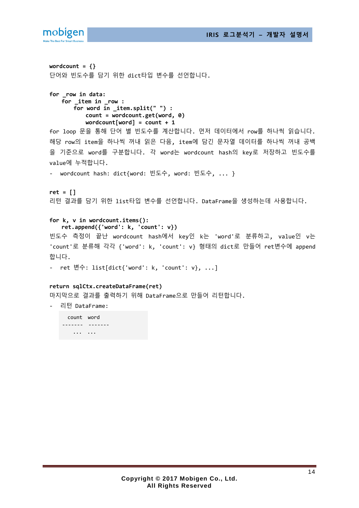

------- ------- ... ...

```
wordcount = {}
단어와 빈도수를 담기 위한 dict타입 변수를 선언합니다.
for _row in data:
   for _item in _row :
       for word in _item.split(" ") :
          count = wordcount.get(word, 0)
          wordcount[word] = count + 1
for loop 문을 통해 단어 별 빈도수를 계산합니다. 먼저 데이터에서 row를 하나씩 읽습니다.
해당 row의 item을 하나씩 꺼내 읽은 다음, item에 담긴 문자열 데이터를 하나씩 꺼내 공백
을 기준으로 word를 구분합니다. 각 word는 wordcount hash의 key로 저장하고 빈도수를
value에 누적합니다.
- wordcount hash: dict{word: 빈도수, word: 빈도수, ... }
ret = []
리턴 결과를 담기 위한 list타입 변수를 선언합니다. DataFrame을 생성하는데 사용합니다.
for k, v in wordcount.items():
    ret.append({'word': k, 'count': v})
빈도수 측정이 끝난 wordcount hash에서 key인 k는 'word'로 분류하고, value인 v는
'count'로 분류해 각각 {'word': k, 'count': v} 형태의 dict로 만들어 ret변수에 append
합니다.
- ret 변수: list[dict{'word': k, 'count': v}, ...]
return sqlCtx.createDataFrame(ret)
마지막으로 결과를 출력하기 위해 DataFrame으로 만들어 리턴합니다.
  - 리턴 DataFrame:
    count word
```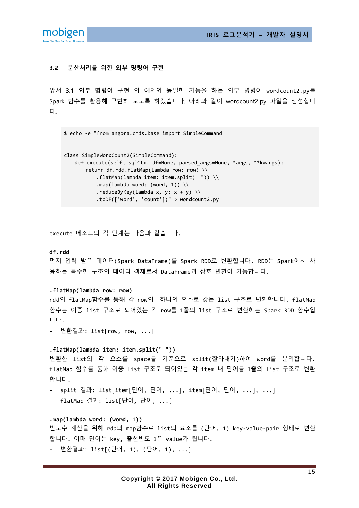

## <span id="page-14-0"></span>**3.2 분산처리를 위한 외부 명령어 구현**

앞서 **[3.1](#page-11-1) 외부 [명령어](#page-11-1)** 구현 의 예제와 동일한 기능을 하는 외부 명령어 wordcount2.py를 Spark 함수를 활용해 구현해 보도록 하겠습니다. 아래와 같이 wordcount2.py 파일을 생성합니 다.

```
$ echo -e "from angora.cmds.base import SimpleCommand
```

```
class SimpleWordCount2(SimpleCommand):
    def execute(self, sqlCtx, df=None, parsed_args=None, *args, **kwargs):
       return df.rdd.flatMap(lambda row: row) \\
           .flatMap(lambda item: item.split(" ")) \\
          .map(lambda word: (word, 1)) \\
           .reduceByKey(lambda x, y: x + y) \\
            .toDF(['word', 'count'])" > wordcount2.py
```
execute 메소드의 각 단계는 다음과 같습니다.

#### **df.rdd**

먼저 입력 받은 데이터(Spark DataFrame)를 Spark RDD로 변환합니다. RDD는 Spark에서 사 용하는 특수한 구조의 데이터 객체로서 DataFrame과 상호 변환이 가능합니다.

#### **.flatMap(lambda row: row)**

rdd의 flatMap함수를 통해 각 row의 하나의 요소로 갖는 list 구조로 변환합니다. flatMap 함수는 이중 list 구조로 되어있는 각 row를 1줄의 list 구조로 변환하는 Spark RDD 함수입 니다.

- 변환결과: list[row, row, ...]

#### **.flatMap(lambda item: item.split(" "))**

변환한 list의 각 요소를 space를 기준으로 split(잘라내기)하여 word를 분리합니다. flatMap 함수를 통해 이중 list 구조로 되어있는 각 item 내 단어를 1줄의 list 구조로 변환 합니다.

- split 결과: list[item[단어, 단어, ...], item[단어, 단어, ...], ...]
- flatMap 결과: list[단어, 단어, ...]

#### **.map(lambda word: (word, 1))**

빈도수 계산을 위해 rdd의 map함수로 list의 요소를 (단어, 1) key-value-pair 형태로 변환 합니다. 이때 단어는 key, 출현빈도 1은 value가 됩니다.

- 변환결과: list[(단어, 1), (단어, 1), ...]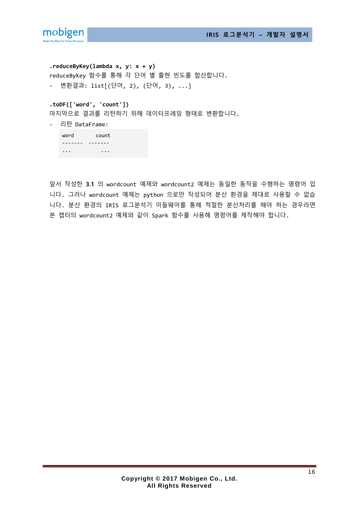

**.reduceByKey(lambda x, y: x + y)** reduceByKey 함수를 통해 각 단어 별 출현 빈도를 합산합니다. - 변환결과: list[(단어, 2), (단어, 3), ...]

**.toDF(['word', 'count'])**

마지막으로 결과를 리턴하기 위해 데이터프레임 형태로 변환합니다.

- 리턴 DataFrame:

| word             | count    |
|------------------|----------|
|                  |          |
| $\bullet\bullet$ | $\cdots$ |

앞서 작성한 **[3.1](#page-11-1)** 의 wordcount 예제와 wordcount2 예제는 동일한 동작을 수행하는 명령어 입 니다. 그러나 wordcount 예제는 python 으로만 작성되어 분산 환경을 제대로 사용할 수 없습 니다. 분산 환경의 IRIS 로그분석기 미들웨어를 통해 적절한 분산처리를 해야 하는 경우라면 본 챕터의 wordcount2 예제와 같이 Spark 함수를 사용해 명령어를 제작해야 합니다.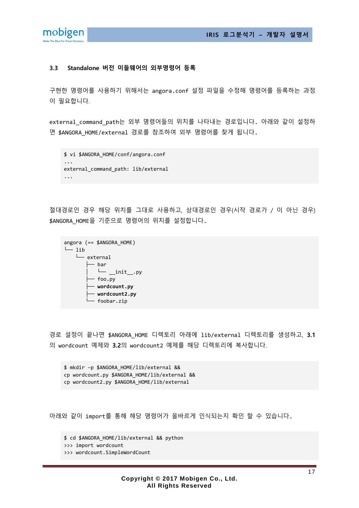

#### <span id="page-16-0"></span>**3.3 Standalone 버전 미들웨어의 외부명령어 등록**

구현한 명령어를 사용하기 위해서는 angora.conf 설정 파일을 수정해 명령어를 등록하는 과정 이 필요합니다.

external\_command\_path는 외부 명령어들의 위치를 나타내는 경로입니다. 아래와 같이 설정하 면 \$ANGORA\_HOME/external 경로를 참조하여 외부 명령어를 찾게 됩니다.

```
$ vi $ANGORA_HOME/conf/angora.conf
...
external command path: lib/external
...
```
절대경로인 경우 해당 위치를 그대로 사용하고, 상대경로인 경우(시작 경로가 / 이 아닌 경우) \$ANGORA HOME을 기준으로 명령어의 위치를 설정합니다.

```
angora (== $ANGORA_HOME)
\sqcup lib
    └── external
          ├── bar
           \sqcup __init__.py
          - foo.py
          ├── wordcount.py
           ├── wordcount2.py
          - foobar.zip
```
경로 설정이 끝나면 \$ANGORA\_HOME 디렉토리 아래에 lib/external 디렉토리를 생성하고, **[3.1](#page-11-1)** 의 wordcount 예제와 **[3.2](#page-14-0)**의 wordcount2 예제를 해당 디렉토리에 복사합니다.

\$ mkdir –p \$ANGORA\_HOME/lib/external && cp wordcount.py \$ANGORA\_HOME/lib/external && cp wordcount2.py \$ANGORA\_HOME/lib/external

아래와 같이 import를 통해 해당 명령어가 올바르게 인식되는지 확인 할 수 있습니다.

\$ cd \$ANGORA\_HOME/lib/external && python

>>> import wordcount

>>> wordcount.SimpleWordCount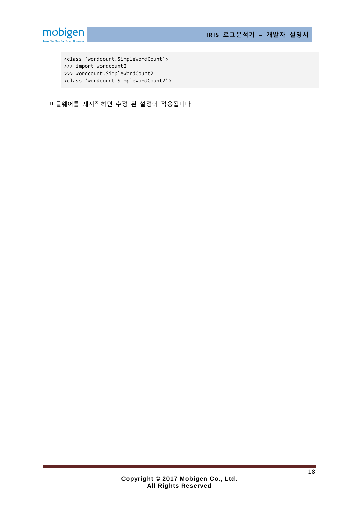



<class 'wordcount.SimpleWordCount'> >>> import wordcount2 >>> wordcount.SimpleWordCount2 <class 'wordcount.SimpleWordCount2'>

미들웨어를 재시작하면 수정 된 설정이 적용됩니다.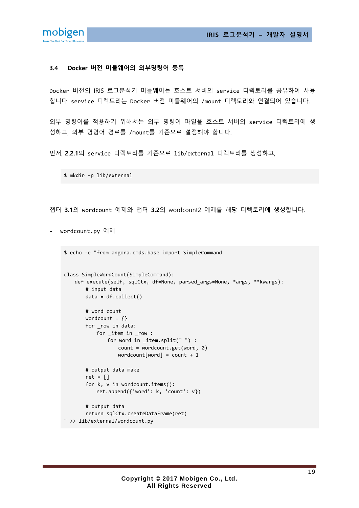**IRIS 로그분석기 – 개발자 설명서**



#### <span id="page-18-0"></span>**3.4 Docker 버전 미들웨어의 외부명령어 등록**

Docker 버전의 IRIS 로그분석기 미들웨어는 호스트 서버의 service 디렉토리를 공유하여 사용 합니다. service 디렉토리는 Docker 버전 미들웨어의 /mount 디렉토리와 연결되어 있습니다.

외부 명령어를 적용하기 위해서는 외부 명령어 파일을 호스트 서버의 service 디렉토리에 생 성하고, 외부 명령어 경로를 /mount를 기준으로 설정해야 합니다.

먼저, **[2.2.1](#page-7-1)**의 service 디렉토리를 기준으로 lib/external 디렉토리를 생성하고,

\$ mkdir –p lib/external

챕터 **[3.1](#page-11-1)**의 wordcount 예제와 챕터 **[3.2](#page-14-0)**의 wordcount2 예제를 해당 디렉토리에 생성합니다.

- wordcount.py 예제

\$ echo -e "from angora.cmds.base import SimpleCommand

```
class SimpleWordCount(SimpleCommand):
    def execute(self, sqlCtx, df=None, parsed_args=None, *args, **kwargs):
        # input data
        data = df.collect()
        # word count
       wordcount = \{\} for _row in data:
            for _item in _row :
                for word in _item.split(" ") :
                   count = wordcount.get(word, 0)
                  wordcount[word] = count + 1 # output data make
       ret = [] for k, v in wordcount.items():
            ret.append({'word': k, 'count': v})
        # output data
        return sqlCtx.createDataFrame(ret)
" >> lib/external/wordcount.py
```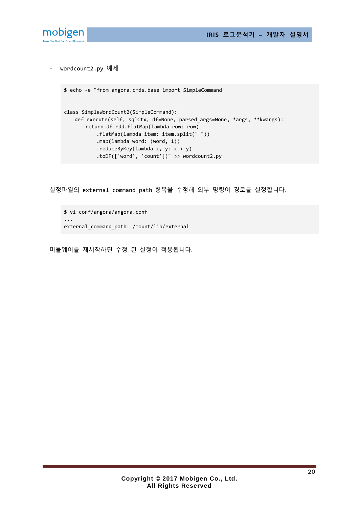



- wordcount2.py 예제

```
$ echo -e "from angora.cmds.base import SimpleCommand 
class SimpleWordCount2(SimpleCommand):
    def execute(self, sqlCtx, df=None, parsed_args=None, *args, **kwargs):
        return df.rdd.flatMap(lambda row: row)
            .flatMap(lambda item: item.split(" "))
            .map(lambda word: (word, 1))
            .reduceByKey(lambda x, y: x + y)
            .toDF(['word', 'count'])" >> wordcount2.py
```
설정파일의 external command path 항목을 수정해 외부 명령어 경로를 설정합니다.

\$ vi conf/angora/angora.conf ... external\_command\_path: /mount/lib/external

미들웨어를 재시작하면 수정 된 설정이 적용됩니다.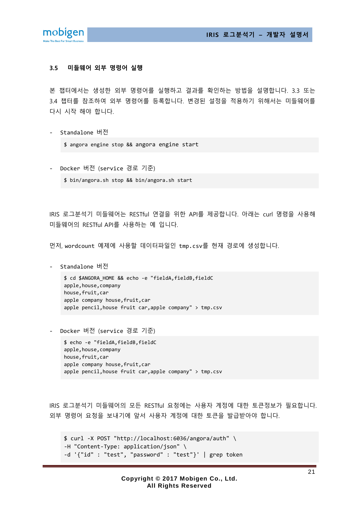

#### <span id="page-20-0"></span>**3.5 미들웨어 외부 명령어 실행**

본 챕터에서는 생성한 외부 명령어를 실행하고 결과를 확인하는 방법을 설명합니다. [3.3](#page-16-0) 또는 [3.4](#page-18-0) 챕터를 참조하여 외부 명령어를 등록합니다. 변경된 설정을 적용하기 위해서는 미들웨어를 다시 시작 해야 합니다.

- Standalone 버전

\$ angora engine stop && angora engine start

- Docker 버전 (service 경로 기준)
	- \$ bin/angora.sh stop && bin/angora.sh start

IRIS 로그분석기 미들웨어는 RESTful 연결을 위한 API를 제공합니다. 아래는 curl 명령을 사용해 미들웨어의 RESTful API를 사용하는 예 입니다.

먼저, wordcount 예제에 사용할 데이터파일인 tmp.csv를 현재 경로에 생성합니다.

- Standalone 버전

\$ cd \$ANGORA\_HOME && echo -e "fieldA,fieldB,fieldC apple,house,company house,fruit,car apple company house,fruit,car apple pencil,house fruit car,apple company" > tmp.csv

- Docker 버전 (service 경로 기준)

\$ echo -e "fieldA,fieldB,fieldC apple,house,company house,fruit,car apple company house,fruit,car apple pencil,house fruit car,apple company" > tmp.csv

IRIS 로그분석기 미들웨어의 모든 RESTful 요청에는 사용자 계정에 대한 토큰정보가 필요합니다. 외부 명령어 요청을 보내기에 앞서 사용자 계정에 대한 토큰을 발급받아야 합니다.

\$ curl -X POST "http://localhost:6036/angora/auth" \ -H "Content-Type: application/json" \ -d '{"id" : "test", "password" : "test"}' | grep token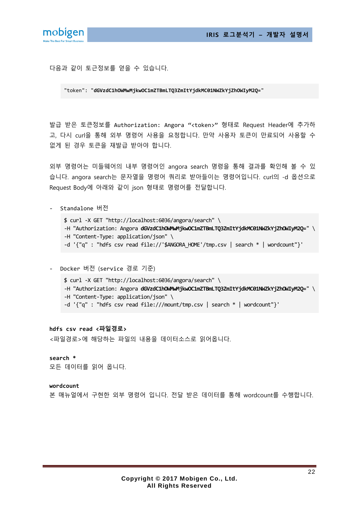

다음과 같이 토근정보를 얻을 수 있습니다.

"token": "**dGVzdC1hOWMwMjkwOC1mZTBmLTQ3ZmItYjdkMC01NWZkYjZhOWIyM2Q=**"

발급 받은 토큰정보를 Authorization: Angora "<token>" 형태로 Request Header에 추가하 고, 다시 curl을 통해 외부 명령어 사용을 요청합니다. 만약 사용자 토큰이 만료되어 사용할 수 없게 된 경우 토큰을 재발급 받아야 합니다.

외부 명령어는 미들웨어의 내부 명령어인 angora search 명령을 통해 결과를 확인해 볼 수 있 습니다. angora search는 문자열을 명령어 쿼리로 받아들이는 명령어입니다. curl의 -d 옵션으로 Request Body에 아래와 같이 json 형태로 명령어를 전달합니다.

- Standalone 버전

\$ curl -X GET "http://localhost:6036/angora/search" \ -H "Authorization: Angora **dGVzdC1hOWMwMjkwOC1mZTBmLTQ3ZmItYjdkMC01NWZkYjZhOWIyM2Q=**" \ -H "Content-Type: application/json" \ -d '{"q" : "hdfs csv read file://'\$ANGORA\_HOME'/tmp.csv | search \* | wordcount"}'

- Docker 버전 (service 경로 기준)

\$ curl -X GET "http://localhost:6036/angora/search" \ -H "Authorization: Angora **dGVzdC1hOWMwMjkwOC1mZTBmLTQ3ZmItYjdkMC01NWZkYjZhOWIyM2Q=**" \ -H "Content-Type: application/json" \ -d '{"q" : "hdfs csv read file:///mount/tmp.csv | search \* | wordcount"}'

#### **hdfs csv read <파일경로>**

<파일경로>에 해당하는 파일의 내용을 데이터소스로 읽어옵니다.

#### **search \***

모든 데이터를 읽어 옵니다.

#### **wordcount**

본 매뉴얼에서 구현한 외부 명령어 입니다. 전달 받은 데이터를 통해 wordcount를 수행합니다.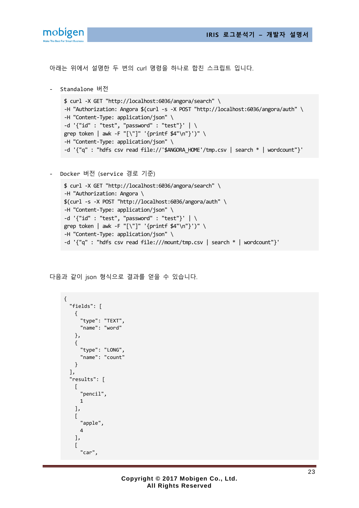

아래는 위에서 설명한 두 번의 curl 명령을 하나로 합친 스크립트 입니다.

```
- Standalone 버전
```

```
$ curl -X GET "http://localhost:6036/angora/search" \
-H "Authorization: Angora $(curl -s -X POST "http://localhost:6036/angora/auth" \
-H "Content-Type: application/json" \
-d '{"id" : "test", "password" : "test"}' | \
grep token | awk -F "[\"]" '{printf $4"\n"}')" \
-H "Content-Type: application/json" \
-d '{"q" : "hdfs csv read file://'$ANGORA_HOME'/tmp.csv | search * | wordcount"}'
```
- Docker 버전 (service 경로 기준)

```
$ curl -X GET "http://localhost:6036/angora/search" \
-H "Authorization: Angora \
$(curl -s -X POST "http://localhost:6036/angora/auth" \
-H "Content-Type: application/json" \
-d '{"id" : "test", "password" : "test"}' | \
grep token | awk -F "[\"]" '{printf $4"\n"}')" \
-H "Content-Type: application/json" \
-d '{"q" : "hdfs csv read file:///mount/tmp.csv | search * | wordcount"}'
```
다음과 같이 json 형식으로 결과를 얻을 수 있습니다.

```
{
   "fields": [
     {
       "type": "TEXT",
        "name": "word"
     },
     {
        "type": "LONG",
        "name": "count"
     }
   ],
   "results": [
    \Gamma "pencil",
       1
     ],
     [
        "apple",
       4
     ],
    \Gamma "car",
```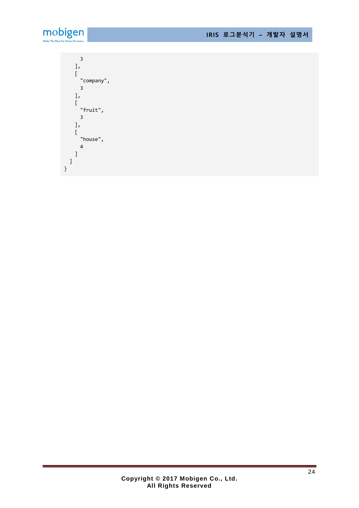

}

 3 ],  $\Gamma$  "company", 3 ],  $\Gamma$  "fruit", 3 ],  $\lceil$  "house", 4 ] ]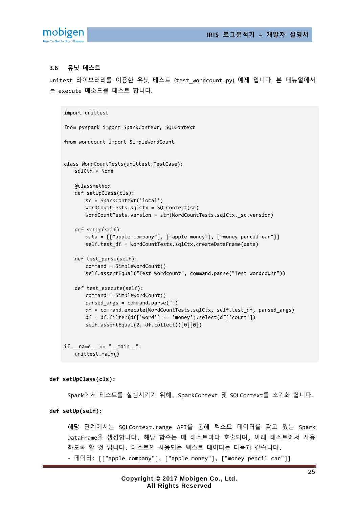

#### <span id="page-24-0"></span>**3.6 유닛 테스트**

unitest 라이브러리를 이용한 유닛 테스트 (test\_wordcount.py) 예제 입니다. 본 매뉴얼에서 는 execute 메소드를 테스트 합니다.

```
import unittest
from pyspark import SparkContext, SQLContext
from wordcount import SimpleWordCount
class WordCountTests(unittest.TestCase):
    sqlCtx = None
    @classmethod
    def setUpClass(cls):
        sc = SparkContext('local')
        WordCountTests.sqlCtx = SQLContext(sc)
       WordCountTests.version = str(WordCountTests.sqlCtx. sc.version)
    def setUp(self):
        data = [["apple company"], ["apple money"], ["money pencil car"]]
       self.test df = WordCountTests.sqlCtx.createDataFrame(data)
   def test parse(self):
        command = SimpleWordCount()
        self.assertEqual("Test wordcount", command.parse("Test wordcount"))
    def test_execute(self):
        command = SimpleWordCount()
        parsed_args = command.parse("")
        df = command.execute(WordCountTests.sqlCtx, self.test_df, parsed_args)
        df = df.filter(df['word'] == 'money').select(df['count'])
        self.assertEqual(2, df.collect()[0][0])
if name == " main ":
```
unittest.main()

#### **def setUpClass(cls):**

Spark에서 테스트를 실행시키기 위해, SparkContext 및 SQLContext를 초기화 합니다.

#### **def setUp(self):**

해당 단계에서는 SQLContext.range API를 통해 텍스트 데이터를 갖고 있는 Spark DataFrame을 생성합니다. 해당 함수는 매 테스트마다 호출되며, 아래 테스트에서 사용 하도록 할 것 입니다. 테스트의 사용되는 텍스트 데이터는 다음과 같습니다. - 데이터: [["apple company"], ["apple money"], ["money pencil car"]]

> **Copyright © 2017 Mobigen Co., Ltd. All Rights Reserved**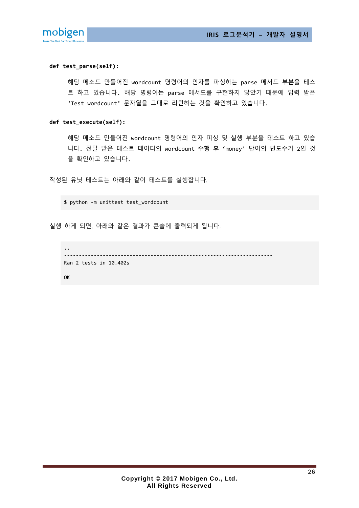

#### **def test\_parse(self):**

해당 메소드 만들어진 wordcount 명령어의 인자를 파싱하는 parse 메서드 부분을 테스 트 하고 있습니다. 해당 명령어는 parse 메서드를 구현하지 않았기 때문에 입력 받은 'Test wordcount' 문자열을 그대로 리턴하는 것을 확인하고 있습니다.

#### **def test\_execute(self):**

해당 메소드 만들어진 wordcount 명령어의 인자 피싱 및 실행 부분을 테스트 하고 있습 니다. 전달 받은 테스트 데이터의 wordcount 수행 후 'money' 단어의 빈도수가 2인 것 을 확인하고 있습니다.

작성된 유닛 테스트는 아래와 같이 테스트를 실행합니다.

\$ python -m unittest test\_wordcount

실행 하게 되면, 아래와 같은 결과가 콘솔에 출력되게 됩니다.

```
..
----------------------------------------------------------------------
Ran 2 tests in 10.402s
OK
```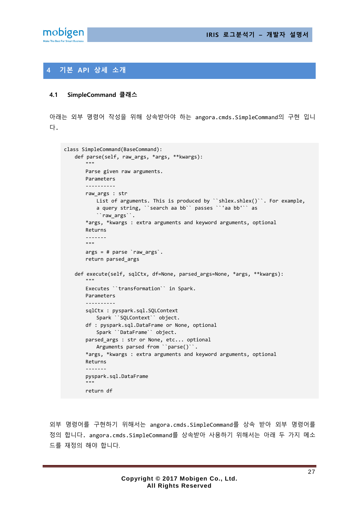

# <span id="page-26-0"></span>**4 기본 API 상세 소개**

#### <span id="page-26-1"></span>**4.1 SimpleCommand 클래스**

아래는 외부 명령어 작성을 위해 상속받아야 하는 angora.cmds.SimpleCommand의 구현 입니 다.

```
class SimpleCommand(BaseCommand):
    def parse(self, raw_args, *args, **kwargs):
       . . . .
        Parse given raw arguments.
        Parameters
        ----------
        raw_args : str
          List of arguments. This is produced by ``shlex.shlex()``. For example,
            a query string, ``search aa bb`` passes ``'aa bb'`` as
            ``raw_args``.
        *args, *kwargs : extra arguments and keyword arguments, optional
        Returns
        -------
 """
       args = # parse `raw args`.
        return parsed_args
    def execute(self, sqlCtx, df=None, parsed_args=None, *args, **kwargs):
        """
        Executes ``transformation`` in Spark.
        Parameters
 ----------
        sqlCtx : pyspark.sql.SQLContext
            Spark ``SQLContext`` object.
        df : pyspark.sql.DataFrame or None, optional
            Spark ``DataFrame`` object.
        parsed_args : str or None, etc... optional
           Arguments parsed from ``parse()``.
        *args, *kwargs : extra arguments and keyword arguments, optional
        Returns
         -------
        pyspark.sql.DataFrame
 """
        return df
```
외부 명령어를 구현하기 위해서는 angora.cmds.SimpleCommand를 상속 받아 외부 명령어를 정의 합니다. angora.cmds.SimpleCommand를 상속받아 사용하기 위해서는 아래 두 가지 메소 드를 재정의 해야 합니다.